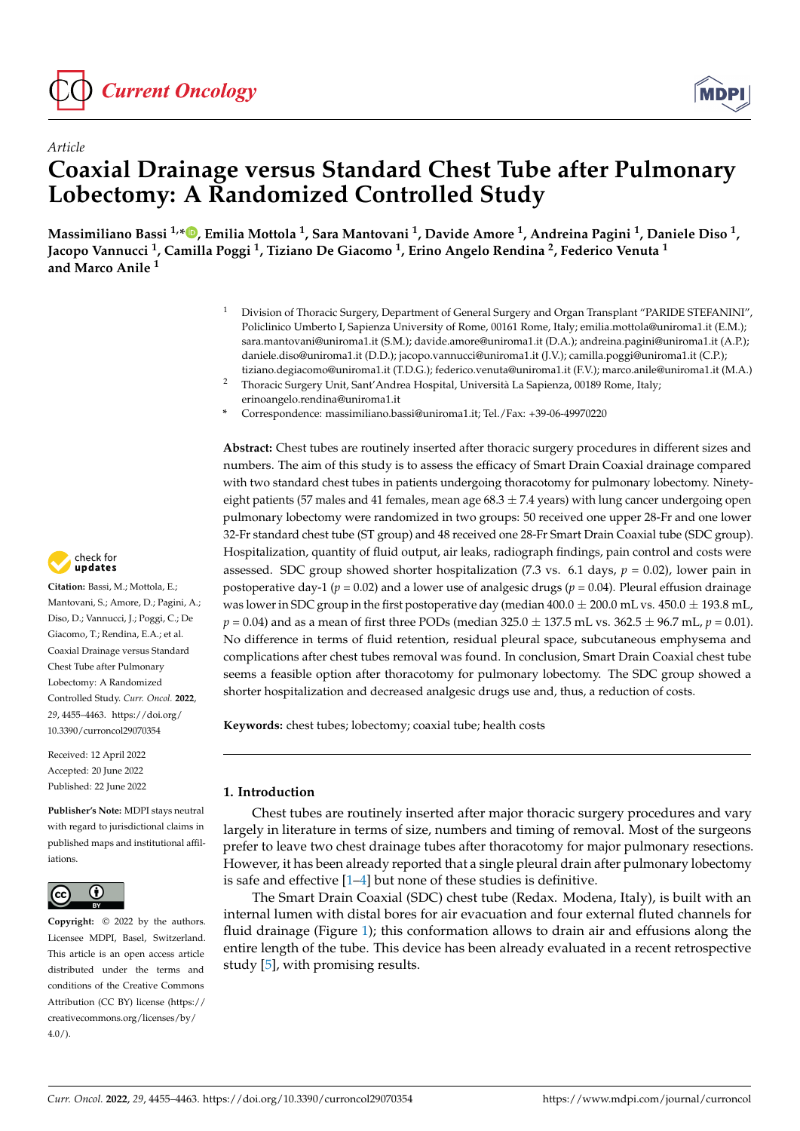



# *Article* **Coaxial Drainage versus Standard Chest Tube after Pulmonary Lobectomy: A Randomized Controlled Study**

**Massimiliano Bassi 1,[\\*](https://orcid.org/0000-0002-2722-4974) , Emilia Mottola <sup>1</sup> , Sara Mantovani <sup>1</sup> , Davide Amore <sup>1</sup> , Andreina Pagini <sup>1</sup> , Daniele Diso <sup>1</sup> , Jacopo Vannucci <sup>1</sup> , Camilla Poggi <sup>1</sup> , Tiziano De Giacomo <sup>1</sup> , Erino Angelo Rendina <sup>2</sup> , Federico Venuta <sup>1</sup> and Marco Anile <sup>1</sup>**

- <sup>1</sup> Division of Thoracic Surgery, Department of General Surgery and Organ Transplant "PARIDE STEFANINI", Policlinico Umberto I, Sapienza University of Rome, 00161 Rome, Italy; emilia.mottola@uniroma1.it (E.M.); sara.mantovani@uniroma1.it (S.M.); davide.amore@uniroma1.it (D.A.); andreina.pagini@uniroma1.it (A.P.); daniele.diso@uniroma1.it (D.D.); jacopo.vannucci@uniroma1.it (J.V.); camilla.poggi@uniroma1.it (C.P.); tiziano.degiacomo@uniroma1.it (T.D.G.); federico.venuta@uniroma1.it (F.V.); marco.anile@uniroma1.it (M.A.)
- <sup>2</sup> Thoracic Surgery Unit, Sant'Andrea Hospital, Università La Sapienza, 00189 Rome, Italy; erinoangelo.rendina@uniroma1.it
- **\*** Correspondence: massimiliano.bassi@uniroma1.it; Tel./Fax: +39-06-49970220

**Abstract:** Chest tubes are routinely inserted after thoracic surgery procedures in different sizes and numbers. The aim of this study is to assess the efficacy of Smart Drain Coaxial drainage compared with two standard chest tubes in patients undergoing thoracotomy for pulmonary lobectomy. Ninetyeight patients (57 males and 41 females, mean age  $68.3 \pm 7.4$  years) with lung cancer undergoing open pulmonary lobectomy were randomized in two groups: 50 received one upper 28-Fr and one lower 32-Fr standard chest tube (ST group) and 48 received one 28-Fr Smart Drain Coaxial tube (SDC group). Hospitalization, quantity of fluid output, air leaks, radiograph findings, pain control and costs were assessed. SDC group showed shorter hospitalization  $(7.3 \text{ vs. } 6.1 \text{ days}, p = 0.02)$ , lower pain in postoperative day-1 ( $p = 0.02$ ) and a lower use of analgesic drugs ( $p = 0.04$ ). Pleural effusion drainage was lower in SDC group in the first postoperative day (median  $400.0 \pm 200.0$  mL vs.  $450.0 \pm 193.8$  mL, *p* = 0.04) and as a mean of first three PODs (median 325.0 ± 137.5 mL vs. 362.5 ± 96.7 mL, *p* = 0.01). No difference in terms of fluid retention, residual pleural space, subcutaneous emphysema and complications after chest tubes removal was found. In conclusion, Smart Drain Coaxial chest tube seems a feasible option after thoracotomy for pulmonary lobectomy. The SDC group showed a shorter hospitalization and decreased analgesic drugs use and, thus, a reduction of costs.

**Keywords:** chest tubes; lobectomy; coaxial tube; health costs

# **1. Introduction**

Chest tubes are routinely inserted after major thoracic surgery procedures and vary largely in literature in terms of size, numbers and timing of removal. Most of the surgeons prefer to leave two chest drainage tubes after thoracotomy for major pulmonary resections. However, it has been already reported that a single pleural drain after pulmonary lobectomy is safe and effective  $[1-4]$  $[1-4]$  but none of these studies is definitive.

The Smart Drain Coaxial (SDC) chest tube (Redax. Modena, Italy), is built with an internal lumen with distal bores for air evacuation and four external fluted channels for fluid drainage (Figure [1\)](#page-1-0); this conformation allows to drain air and effusions along the entire length of the tube. This device has been already evaluated in a recent retrospective study [\[5\]](#page-7-2), with promising results.



**Citation:** Bassi, M.; Mottola, E.; Mantovani, S.; Amore, D.; Pagini, A.; Diso, D.; Vannucci, J.; Poggi, C.; De Giacomo, T.; Rendina, E.A.; et al. Coaxial Drainage versus Standard Chest Tube after Pulmonary Lobectomy: A Randomized Controlled Study. *Curr. Oncol.* **2022**, *29*, 4455–4463. [https://doi.org/](https://doi.org/10.3390/curroncol29070354) [10.3390/curroncol29070354](https://doi.org/10.3390/curroncol29070354)

Received: 12 April 2022 Accepted: 20 June 2022 Published: 22 June 2022

**Publisher's Note:** MDPI stays neutral with regard to jurisdictional claims in published maps and institutional affiliations.



**Copyright:** © 2022 by the authors. Licensee MDPI, Basel, Switzerland. This article is an open access article distributed under the terms and conditions of the Creative Commons Attribution (CC BY) license [\(https://](https://creativecommons.org/licenses/by/4.0/) [creativecommons.org/licenses/by/](https://creativecommons.org/licenses/by/4.0/)  $4.0/$ ).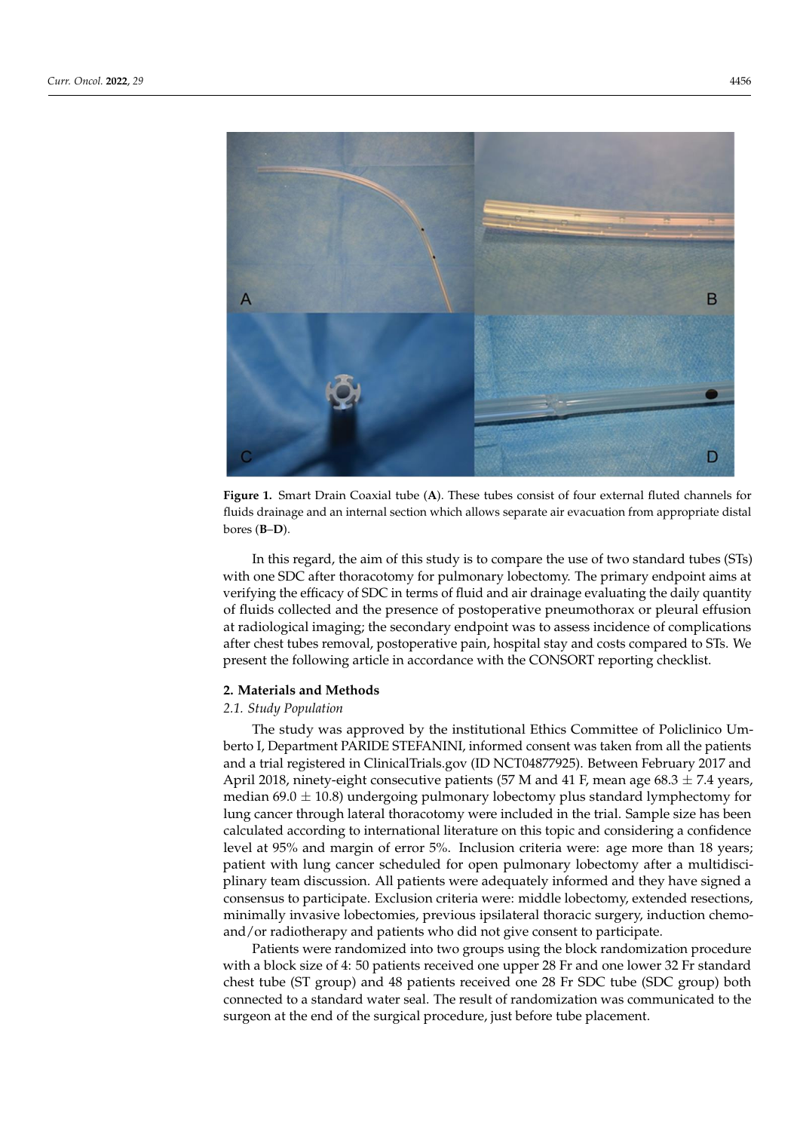<span id="page-1-0"></span>

**Figure 1.** Smart Drain Coaxial tube (A). These tubes consist of four external fluted channels for fluids drainage and an internal section which allows separate air evacuation from appropriate distal (**B**–**D**). bores (**B**–**D**).

In this regard, the aim of this study is to compare the use of two standard tubes (STs) In this regard, the aim of this study is to compare the use of two standard tubes (STs) with one SDC after thoracotomy for pulmonary lobectomy. The primary endpoint aims with one SDC after thoracotomy for pulmonary lobectomy. The primary endpoint aims at at verifying the efficacy of SDC in terms of fluid and air drainage evaluating the daily verifying the efficacy of SDC in terms of fluid and air drainage evaluating the daily quantity of fluids collected and the presence of postoperative pneumothorax or pleural effusion at radiological imaging; the secondary endpoint was to assess incidence of complications after chest tubes removal, postoperative pain, hospital stay and costs compared to STs. We present the following article in accordance with the CONSORT reporting checklist.

#### checklist. **2. Materials and Methods**

# **2. Materials and Methods** *2.1. Study Population*

The study was approved by the institutional Ethics Committee of Policlinico Um-The study was approved by the institutional Ethics Committee of Policlinico Um-and a trial registered in ClinicalTrials.gov (ID NCT04877925). Between February 2017 and April 2018, ninety-eight consecutive patients (57 M and 41 F, mean age  $68.3 \pm 7.4$  years,  $t_{\text{F}}$  and a trial  $\frac{1}{2}$  registered in Clinical Critical Critical Trials. The mass  $\frac{1}{2}$  standard lymphectomy for median 69.0  $\pm$  10.8) undergoing pulmonary lobectomy plus standard lymphectomy for lung cancer through lateral thoracotomy were included in the trial. Sample size has been calculated according to international literature on this topic and considering a confidence level at 95% and margin of error 5%. Inclusion criteria were: age more than 18 years; patient with lung cancer scheduled for open pulmonary lobectomy after a multidiscin<br>plinary team discussion. All patients were adequately informed and they have signed a consensus to participate. Exclusion criteria were: middle lobectomy, extended resections, minimally invasive lobectomies, previous ipsilateral thoracic surgery, induction chemoand/or radiotherapy and patients who did not give consent to participate. berto I, Department PARIDE STEFANINI, informed consent was taken from all the patients

Patients were randomized into two groups using the block randomization procedure with a block size of 4: 50 patients received one upper 28 Fr and one lower 32 Fr standard chest tube (ST group) and 48 patients received one 28 Fr SDC tube (SDC group) both connected to a standard water seal. The result of randomization was communicated to the surgeon at the end of the surgical procedure, just before tube placement.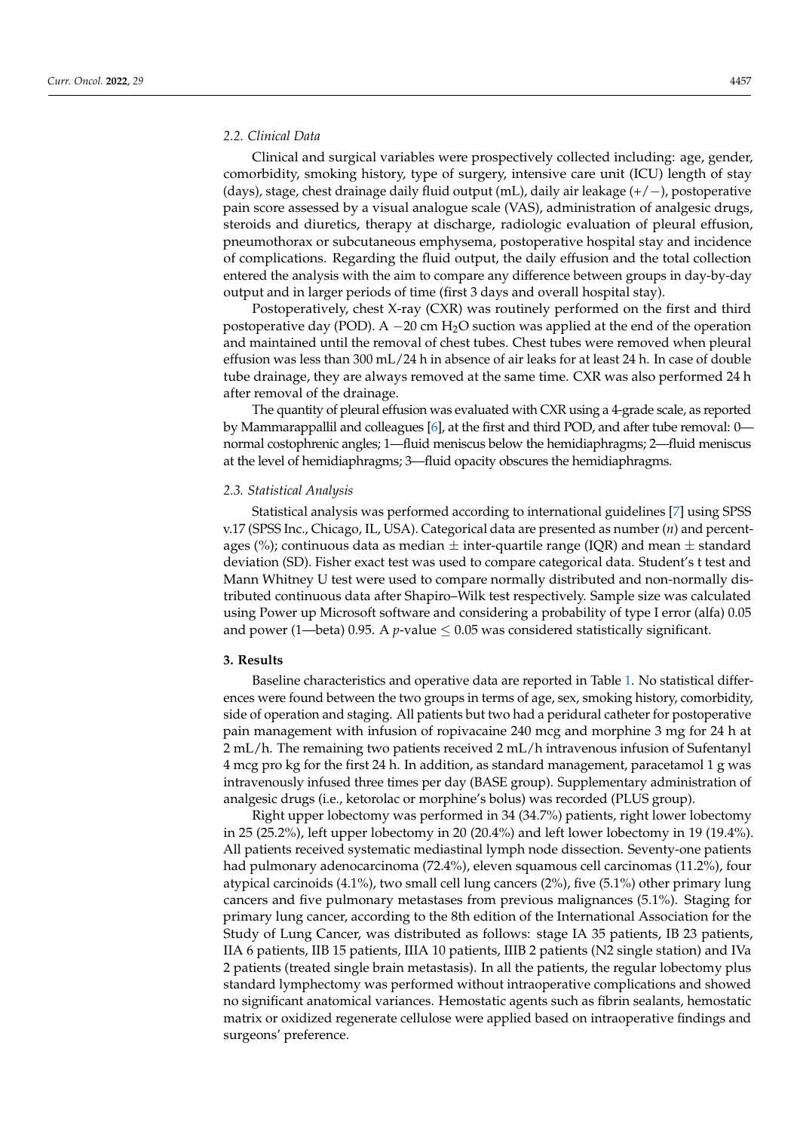## *2.2. Clinical Data*

Clinical and surgical variables were prospectively collected including: age, gender, comorbidity, smoking history, type of surgery, intensive care unit (ICU) length of stay (days), stage, chest drainage daily fluid output (mL), daily air leakage (+/−), postoperative pain score assessed by a visual analogue scale (VAS), administration of analgesic drugs, steroids and diuretics, therapy at discharge, radiologic evaluation of pleural effusion, pneumothorax or subcutaneous emphysema, postoperative hospital stay and incidence of complications. Regarding the fluid output, the daily effusion and the total collection entered the analysis with the aim to compare any difference between groups in day-by-day output and in larger periods of time (first 3 days and overall hospital stay).

Postoperatively, chest X-ray (CXR) was routinely performed on the first and third postoperative day (POD). A  $-20$  cm H<sub>2</sub>O suction was applied at the end of the operation and maintained until the removal of chest tubes. Chest tubes were removed when pleural effusion was less than 300 mL/24 h in absence of air leaks for at least 24 h. In case of double tube drainage, they are always removed at the same time. CXR was also performed 24 h after removal of the drainage.

The quantity of pleural effusion was evaluated with CXR using a 4-grade scale, as reported by Mammarappallil and colleagues [\[6\]](#page-7-3), at the first and third POD, and after tube removal: 0 normal costophrenic angles; 1—fluid meniscus below the hemidiaphragms; 2—fluid meniscus at the level of hemidiaphragms; 3—fluid opacity obscures the hemidiaphragms.

#### *2.3. Statistical Analysis*

Statistical analysis was performed according to international guidelines [\[7\]](#page-7-4) using SPSS v.17 (SPSS Inc., Chicago, IL, USA). Categorical data are presented as number (*n*) and percentages (%); continuous data as median  $\pm$  inter-quartile range (IQR) and mean  $\pm$  standard deviation (SD). Fisher exact test was used to compare categorical data. Student's t test and Mann Whitney U test were used to compare normally distributed and non-normally distributed continuous data after Shapiro–Wilk test respectively. Sample size was calculated using Power up Microsoft software and considering a probability of type I error (alfa) 0.05 and power (1—beta) 0.95. A *p*-value  $\leq$  0.05 was considered statistically significant.

## **3. Results**

Baseline characteristics and operative data are reported in Table [1.](#page-3-0) No statistical differences were found between the two groups in terms of age, sex, smoking history, comorbidity, side of operation and staging. All patients but two had a peridural catheter for postoperative pain management with infusion of ropivacaine 240 mcg and morphine 3 mg for 24 h at 2 mL/h. The remaining two patients received 2 mL/h intravenous infusion of Sufentanyl 4 mcg pro kg for the first 24 h. In addition, as standard management, paracetamol 1 g was intravenously infused three times per day (BASE group). Supplementary administration of analgesic drugs (i.e., ketorolac or morphine's bolus) was recorded (PLUS group).

Right upper lobectomy was performed in 34 (34.7%) patients, right lower lobectomy in 25 (25.2%), left upper lobectomy in 20 (20.4%) and left lower lobectomy in 19 (19.4%). All patients received systematic mediastinal lymph node dissection. Seventy-one patients had pulmonary adenocarcinoma (72.4%), eleven squamous cell carcinomas (11.2%), four atypical carcinoids (4.1%), two small cell lung cancers (2%), five (5.1%) other primary lung cancers and five pulmonary metastases from previous malignances (5.1%). Staging for primary lung cancer, according to the 8th edition of the International Association for the Study of Lung Cancer, was distributed as follows: stage IA 35 patients, IB 23 patients, IIA 6 patients, IIB 15 patients, IIIA 10 patients, IIIB 2 patients (N2 single station) and IVa 2 patients (treated single brain metastasis). In all the patients, the regular lobectomy plus standard lymphectomy was performed without intraoperative complications and showed no significant anatomical variances. Hemostatic agents such as fibrin sealants, hemostatic matrix or oxidized regenerate cellulose were applied based on intraoperative findings and surgeons' preference.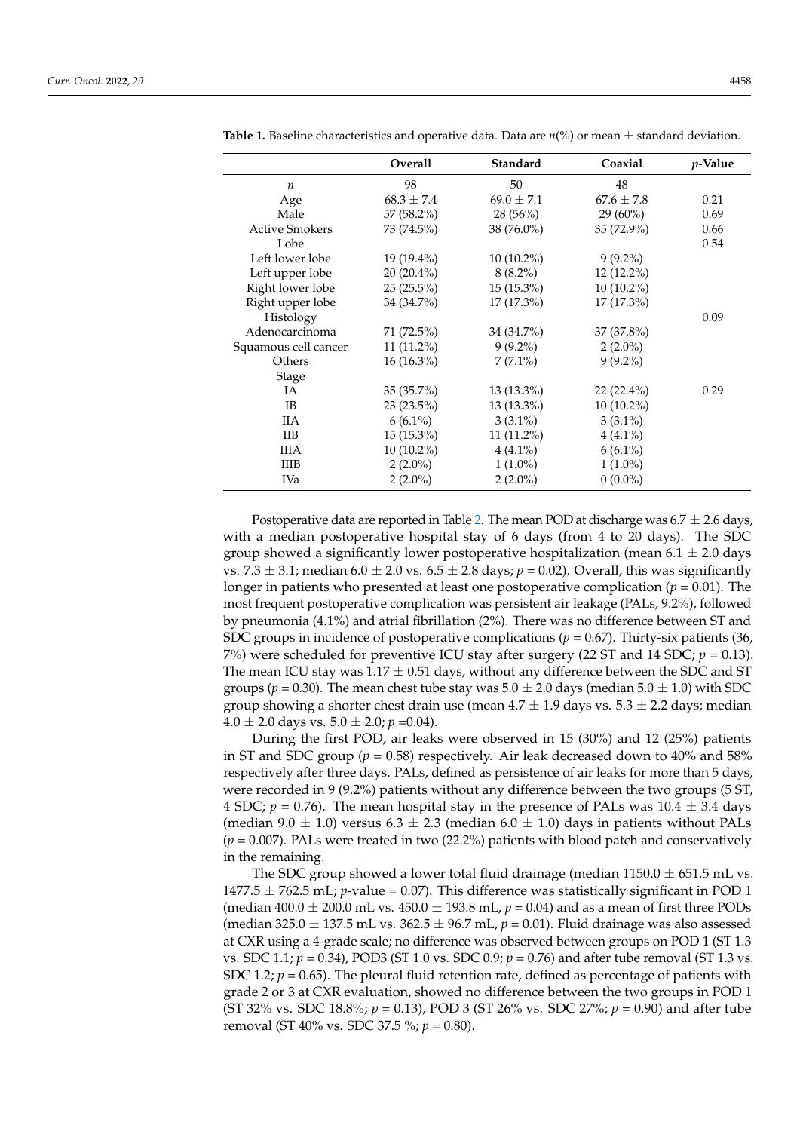| Overall        | Standard       | Coaxial        | <i>p</i> -Value |
|----------------|----------------|----------------|-----------------|
| 98             | 50             | 48             |                 |
| $68.3 \pm 7.4$ | $69.0 \pm 7.1$ | $67.6 \pm 7.8$ | 0.21            |
| $57(58.2\%)$   | 28(56%)        | $29(60\%)$     | 0.69            |
| 73 (74.5%)     | 38 (76.0%)     | 35 (72.9%)     | 0.66            |
|                |                |                | 0.54            |
| $19(19.4\%)$   | $10(10.2\%)$   | $9(9.2\%)$     |                 |
| $20(20.4\%)$   | $8(8.2\%)$     | $12(12.2\%)$   |                 |
| $25(25.5\%)$   | $15(15.3\%)$   | $10(10.2\%)$   |                 |
| 34 (34.7%)     | $17(17.3\%)$   | $17(17.3\%)$   |                 |
|                |                |                | 0.09            |
| 71 (72.5%)     | 34 (34.7%)     | 37 (37.8%)     |                 |
| $11(11.2\%)$   | $9(9.2\%)$     | $2(2.0\%)$     |                 |
| $16(16.3\%)$   | $7(7.1\%)$     | $9(9.2\%)$     |                 |
|                |                |                |                 |
| $35(35.7\%)$   | $13(13.3\%)$   | $22(22.4\%)$   | 0.29            |
| $23(23.5\%)$   | $13(13.3\%)$   | $10(10.2\%)$   |                 |
| $6(6.1\%)$     | $3(3.1\%)$     | $3(3.1\%)$     |                 |
| $15(15.3\%)$   | $11(11.2\%)$   | $4(4.1\%)$     |                 |
| $10(10.2\%)$   | $4(4.1\%)$     | $6(6.1\%)$     |                 |
| $2(2.0\%)$     | $1(1.0\%)$     | $1(1.0\%)$     |                 |
| $2(2.0\%)$     | $2(2.0\%)$     | $0(0.0\%)$     |                 |
|                |                |                |                 |

<span id="page-3-0"></span>**Table 1.** Baseline characteristics and operative data. Data are *n*(%) or mean ± standard deviation.

Postoperative data are reported in Table [2.](#page-4-0) The mean POD at discharge was  $6.7 \pm 2.6$  days, with a median postoperative hospital stay of 6 days (from 4 to 20 days). The SDC group showed a significantly lower postoperative hospitalization (mean  $6.1 \pm 2.0$  days vs. 7.3  $\pm$  3.1; median 6.0  $\pm$  2.0 vs. 6.5  $\pm$  2.8 days;  $p = 0.02$ ). Overall, this was significantly longer in patients who presented at least one postoperative complication ( $p = 0.01$ ). The most frequent postoperative complication was persistent air leakage (PALs, 9.2%), followed by pneumonia (4.1%) and atrial fibrillation (2%). There was no difference between ST and SDC groups in incidence of postoperative complications (*p* = 0.67). Thirty-six patients (36, 7%) were scheduled for preventive ICU stay after surgery (22 ST and 14 SDC; *p* = 0.13). The mean ICU stay was  $1.17 \pm 0.51$  days, without any difference between the SDC and ST groups ( $p = 0.30$ ). The mean chest tube stay was  $5.0 \pm 2.0$  days (median  $5.0 \pm 1.0$ ) with SDC group showing a shorter chest drain use (mean  $4.7 \pm 1.9$  days vs.  $5.3 \pm 2.2$  days; median  $4.0 \pm 2.0$  days vs.  $5.0 \pm 2.0$ ;  $p = 0.04$ ).

During the first POD, air leaks were observed in 15 (30%) and 12 (25%) patients in ST and SDC group ( $p = 0.58$ ) respectively. Air leak decreased down to 40% and 58% respectively after three days. PALs, defined as persistence of air leaks for more than 5 days, were recorded in 9 (9.2%) patients without any difference between the two groups (5 ST, 4 SDC;  $p = 0.76$ ). The mean hospital stay in the presence of PALs was  $10.4 \pm 3.4$  days (median 9.0  $\pm$  1.0) versus 6.3  $\pm$  2.3 (median 6.0  $\pm$  1.0) days in patients without PALs (*p* = 0.007). PALs were treated in two (22.2%) patients with blood patch and conservatively in the remaining.

The SDC group showed a lower total fluid drainage (median  $1150.0 \pm 651.5$  mL vs. 1477.5  $\pm$  762.5 mL; *p*-value = 0.07). This difference was statistically significant in POD 1 (median  $400.0 \pm 200.0$  mL vs.  $450.0 \pm 193.8$  mL,  $p = 0.04$ ) and as a mean of first three PODs (median 325.0  $\pm$  137.5 mL vs. 362.5  $\pm$  96.7 mL,  $p = 0.01$ ). Fluid drainage was also assessed at CXR using a 4-grade scale; no difference was observed between groups on POD 1 (ST 1.3 vs. SDC 1.1;  $p = 0.34$ ), POD3 (ST 1.0 vs. SDC 0.9;  $p = 0.76$ ) and after tube removal (ST 1.3 vs. SDC 1.2;  $p = 0.65$ ). The pleural fluid retention rate, defined as percentage of patients with grade 2 or 3 at CXR evaluation, showed no difference between the two groups in POD 1 (ST 32% vs. SDC 18.8%; *p* = 0.13), POD 3 (ST 26% vs. SDC 27%; *p* = 0.90) and after tube removal (ST 40% vs. SDC 37.5 %; *p* = 0.80).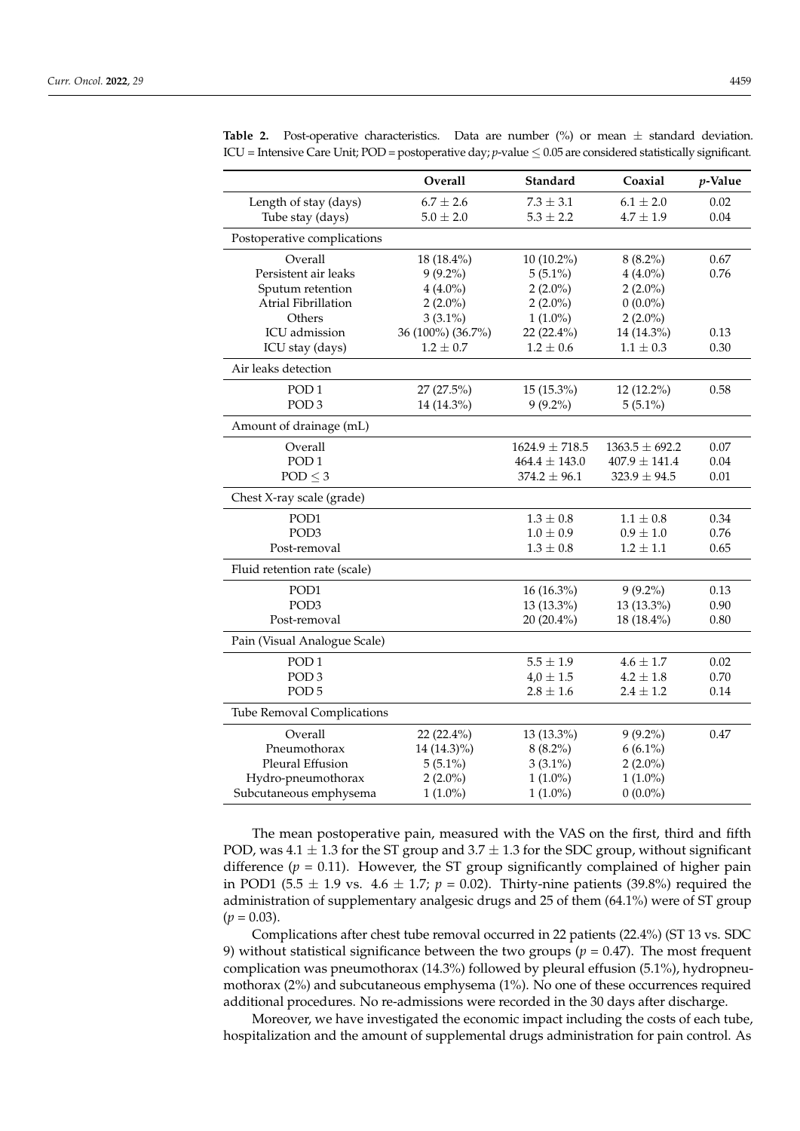|                                   | Overall           | Standard           | Coaxial            | $p$ -Value |
|-----------------------------------|-------------------|--------------------|--------------------|------------|
| Length of stay (days)             | $6.7 \pm 2.6$     | $7.3 \pm 3.1$      | $6.1 \pm 2.0$      | 0.02       |
| Tube stay (days)                  | $5.0 \pm 2.0$     | $5.3 \pm 2.2$      | $4.7 \pm 1.9$      | 0.04       |
| Postoperative complications       |                   |                    |                    |            |
| Overall                           | 18 (18.4%)        | 10 (10.2%)         | $8(8.2\%)$         | 0.67       |
| Persistent air leaks              | $9(9.2\%)$        | $5(5.1\%)$         | $4(4.0\%)$         | 0.76       |
| Sputum retention                  | $4(4.0\%)$        | $2(2.0\%)$         | $2(2.0\%)$         |            |
| Atrial Fibrillation               | $2(2.0\%)$        | $2(2.0\%)$         | $0(0.0\%)$         |            |
| Others                            | $3(3.1\%)$        | $1(1.0\%)$         | $2(2.0\%)$         |            |
| ICU admission                     | 36 (100%) (36.7%) | 22 (22.4%)         | 14 (14.3%)         | 0.13       |
| ICU stay (days)                   | $1.2 \pm 0.7$     | $1.2 \pm 0.6$      | $1.1 \pm 0.3$      | 0.30       |
| Air leaks detection               |                   |                    |                    |            |
| POD <sub>1</sub>                  | 27 (27.5%)        | 15 (15.3%)         | 12 (12.2%)         | 0.58       |
| POD <sub>3</sub>                  | 14 (14.3%)        | $9(9.2\%)$         | $5(5.1\%)$         |            |
| Amount of drainage (mL)           |                   |                    |                    |            |
| Overall                           |                   | $1624.9 \pm 718.5$ | $1363.5 \pm 692.2$ | 0.07       |
| POD <sub>1</sub>                  |                   | $464.4\pm143.0$    | $407.9 \pm 141.4$  | 0.04       |
| $POD \leq 3$                      |                   | $374.2 \pm 96.1$   | $323.9 \pm 94.5$   | 0.01       |
| Chest X-ray scale (grade)         |                   |                    |                    |            |
| POD1                              |                   | $1.3 \pm 0.8$      | $1.1 \pm 0.8$      | 0.34       |
| POD <sub>3</sub>                  |                   | $1.0 \pm 0.9$      | $0.9 \pm 1.0$      | 0.76       |
| Post-removal                      |                   | $1.3 \pm 0.8$      | $1.2 \pm 1.1$      | 0.65       |
| Fluid retention rate (scale)      |                   |                    |                    |            |
| POD1                              |                   | 16 (16.3%)         | $9(9.2\%)$         | 0.13       |
| POD <sub>3</sub>                  |                   | 13 (13.3%)         | 13 (13.3%)         | 0.90       |
| Post-removal                      |                   | 20 (20.4%)         | 18 (18.4%)         | 0.80       |
| Pain (Visual Analogue Scale)      |                   |                    |                    |            |
| POD <sub>1</sub>                  |                   | $5.5 \pm 1.9$      | $4.6 \pm 1.7$      | 0.02       |
| POD <sub>3</sub>                  |                   | $4.0 \pm 1.5$      | $4.2 \pm 1.8$      | 0.70       |
| POD <sub>5</sub>                  |                   | $2.8 \pm 1.6$      | $2.4 \pm 1.2$      | 0.14       |
| <b>Tube Removal Complications</b> |                   |                    |                    |            |
| Overall                           | 22 (22.4%)        | 13 (13.3%)         | $9(9.2\%)$         | 0.47       |
| Pneumothorax                      | 14 (14.3)%)       | $8(8.2\%)$         | $6(6.1\%)$         |            |
| Pleural Effusion                  | $5(5.1\%)$        | $3(3.1\%)$         | $2(2.0\%)$         |            |
| Hydro-pneumothorax                | $2(2.0\%)$        | $1(1.0\%)$         | $1(1.0\%)$         |            |
| Subcutaneous emphysema            | $1(1.0\%)$        | $1(1.0\%)$         | $0(0.0\%)$         |            |

<span id="page-4-0"></span>**Table 2.** Post-operative characteristics. Data are number  $(\%)$  or mean  $\pm$  standard deviation. ICU = Intensive Care Unit; POD = postoperative day; *p*-value ≤ 0.05 are considered statistically significant.

The mean postoperative pain, measured with the VAS on the first, third and fifth POD, was  $4.1 \pm 1.3$  for the ST group and  $3.7 \pm 1.3$  for the SDC group, without significant difference  $(p = 0.11)$ . However, the ST group significantly complained of higher pain in POD1 (5.5  $\pm$  1.9 vs. 4.6  $\pm$  1.7; *p* = 0.02). Thirty-nine patients (39.8%) required the administration of supplementary analgesic drugs and 25 of them (64.1%) were of ST group  $(p = 0.03)$ .

Complications after chest tube removal occurred in 22 patients (22.4%) (ST 13 vs. SDC 9) without statistical significance between the two groups ( $p = 0.47$ ). The most frequent complication was pneumothorax (14.3%) followed by pleural effusion (5.1%), hydropneumothorax (2%) and subcutaneous emphysema (1%). No one of these occurrences required additional procedures. No re-admissions were recorded in the 30 days after discharge.

Moreover, we have investigated the economic impact including the costs of each tube, hospitalization and the amount of supplemental drugs administration for pain control. As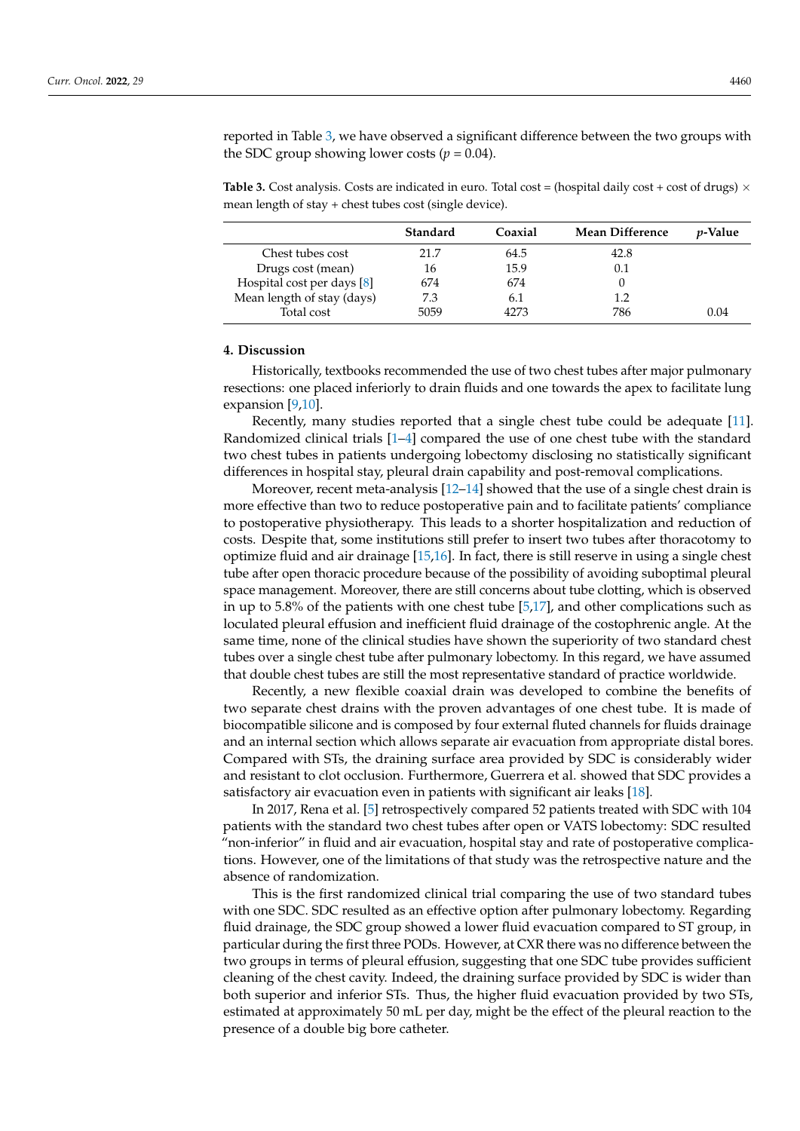reported in Table [3,](#page-5-0) we have observed a significant difference between the two groups with the SDC group showing lower costs ( $p = 0.04$ ).

<span id="page-5-0"></span>**Table 3.** Cost analysis. Costs are indicated in euro. Total cost = (hospital daily cost + cost of drugs)  $\times$ mean length of stay + chest tubes cost (single device).

|                            | Standard | Coaxial | <b>Mean Difference</b> | <i>v</i> -Value |
|----------------------------|----------|---------|------------------------|-----------------|
| Chest tubes cost           | 21.7     | 64.5    | 42.8                   |                 |
| Drugs cost (mean)          | 16       | 15.9    | 0.1                    |                 |
| Hospital cost per days [8] | 674      | 674     |                        |                 |
| Mean length of stay (days) | 7.3      | 6.1     | $1.2\,$                |                 |
| Total cost                 | 5059     | 4273    | 786                    | 0.04            |

#### **4. Discussion**

Historically, textbooks recommended the use of two chest tubes after major pulmonary resections: one placed inferiorly to drain fluids and one towards the apex to facilitate lung expansion [\[9,](#page-7-6)[10\]](#page-7-7).

Recently, many studies reported that a single chest tube could be adequate [\[11\]](#page-7-8). Randomized clinical trials [\[1](#page-7-0)[–4\]](#page-7-1) compared the use of one chest tube with the standard two chest tubes in patients undergoing lobectomy disclosing no statistically significant differences in hospital stay, pleural drain capability and post-removal complications.

Moreover, recent meta-analysis  $[12-14]$  $[12-14]$  showed that the use of a single chest drain is more effective than two to reduce postoperative pain and to facilitate patients' compliance to postoperative physiotherapy. This leads to a shorter hospitalization and reduction of costs. Despite that, some institutions still prefer to insert two tubes after thoracotomy to optimize fluid and air drainage [\[15,](#page-7-11)[16\]](#page-7-12). In fact, there is still reserve in using a single chest tube after open thoracic procedure because of the possibility of avoiding suboptimal pleural space management. Moreover, there are still concerns about tube clotting, which is observed in up to 5.8% of the patients with one chest tube [\[5,](#page-7-2)[17\]](#page-8-0), and other complications such as loculated pleural effusion and inefficient fluid drainage of the costophrenic angle. At the same time, none of the clinical studies have shown the superiority of two standard chest tubes over a single chest tube after pulmonary lobectomy. In this regard, we have assumed that double chest tubes are still the most representative standard of practice worldwide.

Recently, a new flexible coaxial drain was developed to combine the benefits of two separate chest drains with the proven advantages of one chest tube. It is made of biocompatible silicone and is composed by four external fluted channels for fluids drainage and an internal section which allows separate air evacuation from appropriate distal bores. Compared with STs, the draining surface area provided by SDC is considerably wider and resistant to clot occlusion. Furthermore, Guerrera et al. showed that SDC provides a satisfactory air evacuation even in patients with significant air leaks [\[18\]](#page-8-1).

In 2017, Rena et al. [\[5\]](#page-7-2) retrospectively compared 52 patients treated with SDC with 104 patients with the standard two chest tubes after open or VATS lobectomy: SDC resulted "non-inferior" in fluid and air evacuation, hospital stay and rate of postoperative complications. However, one of the limitations of that study was the retrospective nature and the absence of randomization.

This is the first randomized clinical trial comparing the use of two standard tubes with one SDC. SDC resulted as an effective option after pulmonary lobectomy. Regarding fluid drainage, the SDC group showed a lower fluid evacuation compared to ST group, in particular during the first three PODs. However, at CXR there was no difference between the two groups in terms of pleural effusion, suggesting that one SDC tube provides sufficient cleaning of the chest cavity. Indeed, the draining surface provided by SDC is wider than both superior and inferior STs. Thus, the higher fluid evacuation provided by two STs, estimated at approximately 50 mL per day, might be the effect of the pleural reaction to the presence of a double big bore catheter.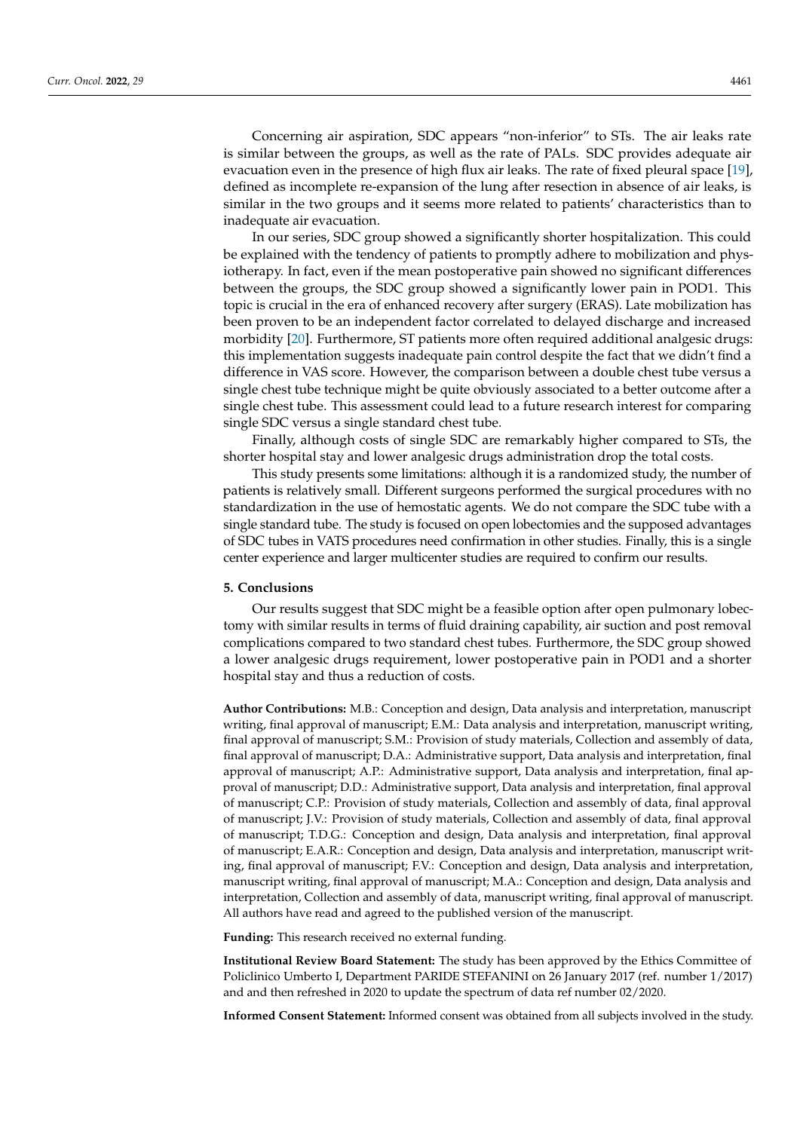Concerning air aspiration, SDC appears "non-inferior" to STs. The air leaks rate is similar between the groups, as well as the rate of PALs. SDC provides adequate air evacuation even in the presence of high flux air leaks. The rate of fixed pleural space [\[19\]](#page-8-2), defined as incomplete re-expansion of the lung after resection in absence of air leaks, is similar in the two groups and it seems more related to patients' characteristics than to inadequate air evacuation.

In our series, SDC group showed a significantly shorter hospitalization. This could be explained with the tendency of patients to promptly adhere to mobilization and physiotherapy. In fact, even if the mean postoperative pain showed no significant differences between the groups, the SDC group showed a significantly lower pain in POD1. This topic is crucial in the era of enhanced recovery after surgery (ERAS). Late mobilization has been proven to be an independent factor correlated to delayed discharge and increased morbidity [\[20\]](#page-8-3). Furthermore, ST patients more often required additional analgesic drugs: this implementation suggests inadequate pain control despite the fact that we didn't find a difference in VAS score. However, the comparison between a double chest tube versus a single chest tube technique might be quite obviously associated to a better outcome after a single chest tube. This assessment could lead to a future research interest for comparing single SDC versus a single standard chest tube.

Finally, although costs of single SDC are remarkably higher compared to STs, the shorter hospital stay and lower analgesic drugs administration drop the total costs.

This study presents some limitations: although it is a randomized study, the number of patients is relatively small. Different surgeons performed the surgical procedures with no standardization in the use of hemostatic agents. We do not compare the SDC tube with a single standard tube. The study is focused on open lobectomies and the supposed advantages of SDC tubes in VATS procedures need confirmation in other studies. Finally, this is a single center experience and larger multicenter studies are required to confirm our results.

#### **5. Conclusions**

Our results suggest that SDC might be a feasible option after open pulmonary lobectomy with similar results in terms of fluid draining capability, air suction and post removal complications compared to two standard chest tubes. Furthermore, the SDC group showed a lower analgesic drugs requirement, lower postoperative pain in POD1 and a shorter hospital stay and thus a reduction of costs.

**Author Contributions:** M.B.: Conception and design, Data analysis and interpretation, manuscript writing, final approval of manuscript; E.M.: Data analysis and interpretation, manuscript writing, final approval of manuscript; S.M.: Provision of study materials, Collection and assembly of data, final approval of manuscript; D.A.: Administrative support, Data analysis and interpretation, final approval of manuscript; A.P.: Administrative support, Data analysis and interpretation, final approval of manuscript; D.D.: Administrative support, Data analysis and interpretation, final approval of manuscript; C.P.: Provision of study materials, Collection and assembly of data, final approval of manuscript; J.V.: Provision of study materials, Collection and assembly of data, final approval of manuscript; T.D.G.: Conception and design, Data analysis and interpretation, final approval of manuscript; E.A.R.: Conception and design, Data analysis and interpretation, manuscript writing, final approval of manuscript; F.V.: Conception and design, Data analysis and interpretation, manuscript writing, final approval of manuscript; M.A.: Conception and design, Data analysis and interpretation, Collection and assembly of data, manuscript writing, final approval of manuscript. All authors have read and agreed to the published version of the manuscript.

**Funding:** This research received no external funding.

**Institutional Review Board Statement:** The study has been approved by the Ethics Committee of Policlinico Umberto I, Department PARIDE STEFANINI on 26 January 2017 (ref. number 1/2017) and and then refreshed in 2020 to update the spectrum of data ref number 02/2020.

**Informed Consent Statement:** Informed consent was obtained from all subjects involved in the study.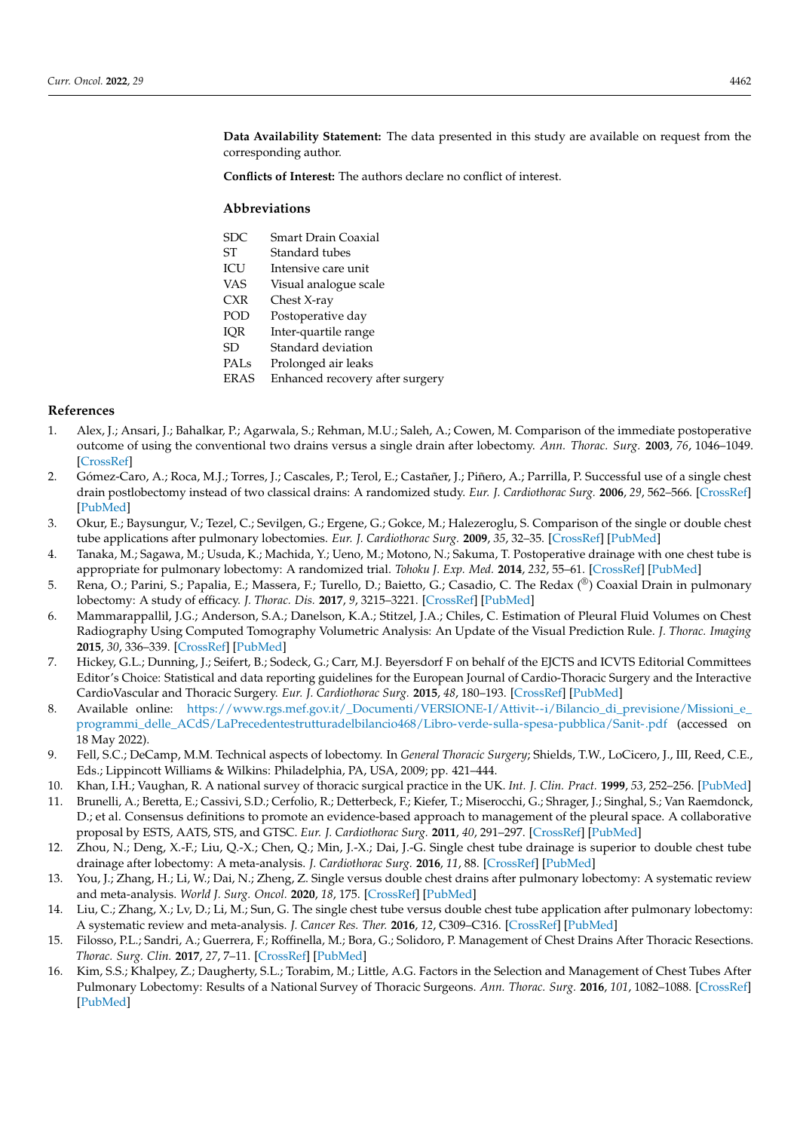**Data Availability Statement:** The data presented in this study are available on request from the corresponding author.

**Conflicts of Interest:** The authors declare no conflict of interest.

#### **Abbreviations**

| SDC. | Smart Drain Coaxial |
|------|---------------------|
| -ST  | Standard tubes      |

- ICU Intensive care unit
- VAS Visual analogue scale
- CXR Chest X-ray
- POD Postoperative day
- IQR Inter-quartile range
- SD Standard deviation
- PALs Prolonged air leaks
- ERAS Enhanced recovery after surgery

#### **References**

- <span id="page-7-0"></span>1. Alex, J.; Ansari, J.; Bahalkar, P.; Agarwala, S.; Rehman, M.U.; Saleh, A.; Cowen, M. Comparison of the immediate postoperative outcome of using the conventional two drains versus a single drain after lobectomy. *Ann. Thorac. Surg.* **2003**, *76*, 1046–1049. [\[CrossRef\]](http://doi.org/10.1016/S0003-4975(03)00884-1)
- 2. Gómez-Caro, A.; Roca, M.J.; Torres, J.; Cascales, P.; Terol, E.; Castañer, J.; Piñero, A.; Parrilla, P. Successful use of a single chest drain postlobectomy instead of two classical drains: A randomized study. *Eur. J. Cardiothorac Surg.* **2006**, *29*, 562–566. [\[CrossRef\]](http://doi.org/10.1016/j.ejcts.2006.01.019) [\[PubMed\]](http://www.ncbi.nlm.nih.gov/pubmed/16495069)
- 3. Okur, E.; Baysungur, V.; Tezel, C.; Sevilgen, G.; Ergene, G.; Gokce, M.; Halezeroglu, S. Comparison of the single or double chest tube applications after pulmonary lobectomies. *Eur. J. Cardiothorac Surg.* **2009**, *35*, 32–35. [\[CrossRef\]](http://doi.org/10.1016/j.ejcts.2008.09.009) [\[PubMed\]](http://www.ncbi.nlm.nih.gov/pubmed/18929492)
- <span id="page-7-1"></span>4. Tanaka, M.; Sagawa, M.; Usuda, K.; Machida, Y.; Ueno, M.; Motono, N.; Sakuma, T. Postoperative drainage with one chest tube is appropriate for pulmonary lobectomy: A randomized trial. *Tohoku J. Exp. Med.* **2014**, *232*, 55–61. [\[CrossRef\]](http://doi.org/10.1620/tjem.232.55) [\[PubMed\]](http://www.ncbi.nlm.nih.gov/pubmed/24492628)
- <span id="page-7-2"></span>5. Rena, O.; Parini, S.; Papalia, E.; Massera, F.; Turello, D.; Baietto, G.; Casadio, C. The Redax (®) Coaxial Drain in pulmonary lobectomy: A study of efficacy. *J. Thorac. Dis.* **2017**, *9*, 3215–3221. [\[CrossRef\]](http://doi.org/10.21037/jtd.2017.08.110) [\[PubMed\]](http://www.ncbi.nlm.nih.gov/pubmed/29221298)
- <span id="page-7-3"></span>6. Mammarappallil, J.G.; Anderson, S.A.; Danelson, K.A.; Stitzel, J.A.; Chiles, C. Estimation of Pleural Fluid Volumes on Chest Radiography Using Computed Tomography Volumetric Analysis: An Update of the Visual Prediction Rule. *J. Thorac. Imaging* **2015**, *30*, 336–339. [\[CrossRef\]](http://doi.org/10.1097/RTI.0000000000000147) [\[PubMed\]](http://www.ncbi.nlm.nih.gov/pubmed/25811356)
- <span id="page-7-4"></span>7. Hickey, G.L.; Dunning, J.; Seifert, B.; Sodeck, G.; Carr, M.J. Beyersdorf F on behalf of the EJCTS and ICVTS Editorial Committees Editor's Choice: Statistical and data reporting guidelines for the European Journal of Cardio-Thoracic Surgery and the Interactive CardioVascular and Thoracic Surgery. *Eur. J. Cardiothorac Surg.* **2015**, *48*, 180–193. [\[CrossRef\]](http://doi.org/10.1093/ejcts/ezv168) [\[PubMed\]](http://www.ncbi.nlm.nih.gov/pubmed/25971435)
- <span id="page-7-5"></span>8. Available online: [https://www.rgs.mef.gov.it/\\_Documenti/VERSIONE-I/Attivit--i/Bilancio\\_di\\_previsione/Missioni\\_e\\_](https://www.rgs.mef.gov.it/_Documenti/VERSIONE-I/Attivit--i/Bilancio_di_previsione/Missioni_e_programmi_delle_ACdS/LaPrecedentestrutturadelbilancio468/Libro-verde-sulla-spesa-pubblica/Sanit-.pdf) [programmi\\_delle\\_ACdS/LaPrecedentestrutturadelbilancio468/Libro-verde-sulla-spesa-pubblica/Sanit-.pdf](https://www.rgs.mef.gov.it/_Documenti/VERSIONE-I/Attivit--i/Bilancio_di_previsione/Missioni_e_programmi_delle_ACdS/LaPrecedentestrutturadelbilancio468/Libro-verde-sulla-spesa-pubblica/Sanit-.pdf) (accessed on 18 May 2022).
- <span id="page-7-6"></span>9. Fell, S.C.; DeCamp, M.M. Technical aspects of lobectomy. In *General Thoracic Surgery*; Shields, T.W., LoCicero, J., III, Reed, C.E., Eds.; Lippincott Williams & Wilkins: Philadelphia, PA, USA, 2009; pp. 421–444.
- <span id="page-7-7"></span>10. Khan, I.H.; Vaughan, R. A national survey of thoracic surgical practice in the UK. *Int. J. Clin. Pract.* **1999**, *53*, 252–256. [\[PubMed\]](http://www.ncbi.nlm.nih.gov/pubmed/10563067)
- <span id="page-7-8"></span>11. Brunelli, A.; Beretta, E.; Cassivi, S.D.; Cerfolio, R.; Detterbeck, F.; Kiefer, T.; Miserocchi, G.; Shrager, J.; Singhal, S.; Van Raemdonck, D.; et al. Consensus definitions to promote an evidence-based approach to management of the pleural space. A collaborative proposal by ESTS, AATS, STS, and GTSC. *Eur. J. Cardiothorac Surg.* **2011**, *40*, 291–297. [\[CrossRef\]](http://doi.org/10.1016/j.ejcts.2011.05.020) [\[PubMed\]](http://www.ncbi.nlm.nih.gov/pubmed/21757129)
- <span id="page-7-9"></span>12. Zhou, N.; Deng, X.-F.; Liu, Q.-X.; Chen, Q.; Min, J.-X.; Dai, J.-G. Single chest tube drainage is superior to double chest tube drainage after lobectomy: A meta-analysis. *J. Cardiothorac Surg.* **2016**, *11*, 88. [\[CrossRef\]](http://doi.org/10.1186/s13019-016-0484-1) [\[PubMed\]](http://www.ncbi.nlm.nih.gov/pubmed/27233984)
- 13. You, J.; Zhang, H.; Li, W.; Dai, N.; Zheng, Z. Single versus double chest drains after pulmonary lobectomy: A systematic review and meta-analysis. *World J. Surg. Oncol.* **2020**, *18*, 175. [\[CrossRef\]](http://doi.org/10.1186/s12957-020-01945-1) [\[PubMed\]](http://www.ncbi.nlm.nih.gov/pubmed/32690055)
- <span id="page-7-10"></span>14. Liu, C.; Zhang, X.; Lv, D.; Li, M.; Sun, G. The single chest tube versus double chest tube application after pulmonary lobectomy: A systematic review and meta-analysis. *J. Cancer Res. Ther.* **2016**, *12*, C309–C316. [\[CrossRef\]](http://doi.org/10.4103/0973-1482.200743) [\[PubMed\]](http://www.ncbi.nlm.nih.gov/pubmed/28230045)
- <span id="page-7-11"></span>15. Filosso, P.L.; Sandri, A.; Guerrera, F.; Roffinella, M.; Bora, G.; Solidoro, P. Management of Chest Drains After Thoracic Resections. *Thorac. Surg. Clin.* **2017**, *27*, 7–11. [\[CrossRef\]](http://doi.org/10.1016/j.thorsurg.2016.08.002) [\[PubMed\]](http://www.ncbi.nlm.nih.gov/pubmed/27865329)
- <span id="page-7-12"></span>16. Kim, S.S.; Khalpey, Z.; Daugherty, S.L.; Torabim, M.; Little, A.G. Factors in the Selection and Management of Chest Tubes After Pulmonary Lobectomy: Results of a National Survey of Thoracic Surgeons. *Ann. Thorac. Surg.* **2016**, *101*, 1082–1088. [\[CrossRef\]](http://doi.org/10.1016/j.athoracsur.2015.09.079) [\[PubMed\]](http://www.ncbi.nlm.nih.gov/pubmed/26680313)